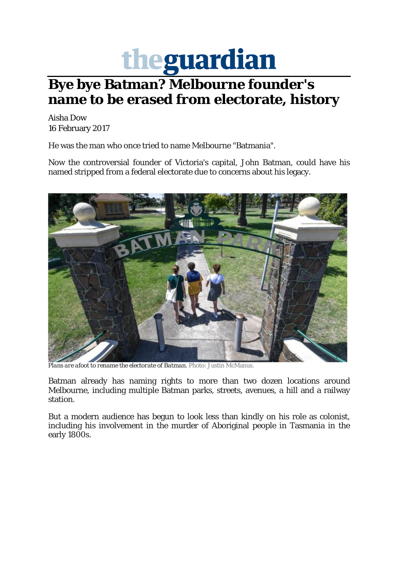## theguardian

## **Bye bye Batman? Melbourne founder's name to be erased from electorate, history**

Aisha Dow 16 February 2017

He was the man who once tried to name Melbourne "Batmania".

Now the controversial founder of Victoria's capital, John Batman, could have his named stripped from a federal electorate due to concerns about his legacy.



*Plans are afoot to rename the electorate of Batman.* Photo: Justin McManus.

Batman already has naming rights to more than two dozen locations around Melbourne, including multiple Batman parks, streets, avenues, a hill and a railway station.

But a modern audience has begun to look less than kindly on his role as colonist, including his involvement in the murder of Aboriginal people in Tasmania in the early 1800s.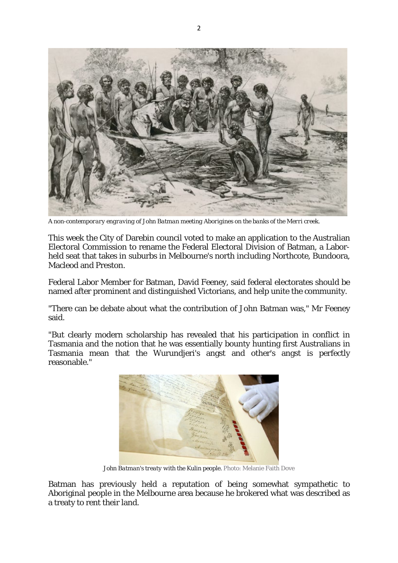

*A non-contemporary engraving of John Batman meeting Aborigines on the banks of the Merri creek.*

This week the City of Darebin council voted to make an application to the Australian Electoral Commission to rename the Federal Electoral Division of Batman, a Laborheld seat that takes in suburbs in Melbourne's north including Northcote, Bundoora, Macleod and Preston.

Federal Labor Member for Batman, David Feeney, said federal electorates should be named after prominent and distinguished Victorians, and help unite the community.

"There can be debate about what the contribution of John Batman was," Mr Feeney said.

"But clearly modern scholarship has revealed that his participation in conflict in Tasmania and the notion that he was essentially bounty hunting first Australians in Tasmania mean that the Wurundjeri's angst and other's angst is perfectly reasonable."



*John Batman's treaty with the Kulin people.* Photo: Melanie Faith Dove

Batman has previously held a reputation of being somewhat sympathetic to Aboriginal people in the Melbourne area because he brokered what was described as a treaty to rent their land.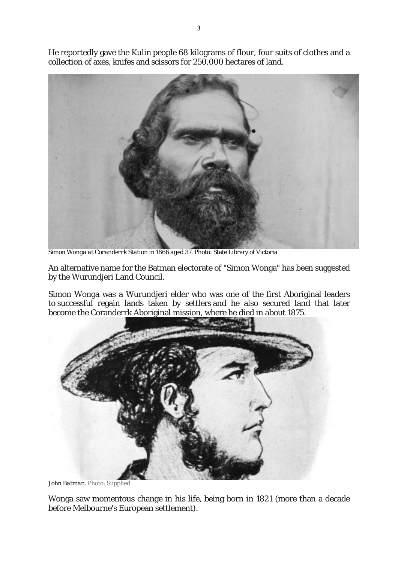He reportedly gave the Kulin people 68 kilograms of flour, four suits of clothes and a collection of axes, knifes and scissors for 250,000 hectares of land.



*Simon Wonga at Coranderrk Station in 1866 aged 37.* Photo: State Library of Victoria

An alternative name for the Batman electorate of "Simon Wonga" has been suggested by the Wurundjeri Land Council.

Simon Wonga was a Wurundjeri elder who was one of the first Aboriginal leaders to successful regain lands taken by settlers and he also secured land that later become the Coranderrk Aboriginal mission, where he died in about 1875.



*John Batman.* Photo: Supplied

Wonga saw momentous change in his life, being born in 1821 (more than a decade before Melbourne's European settlement).